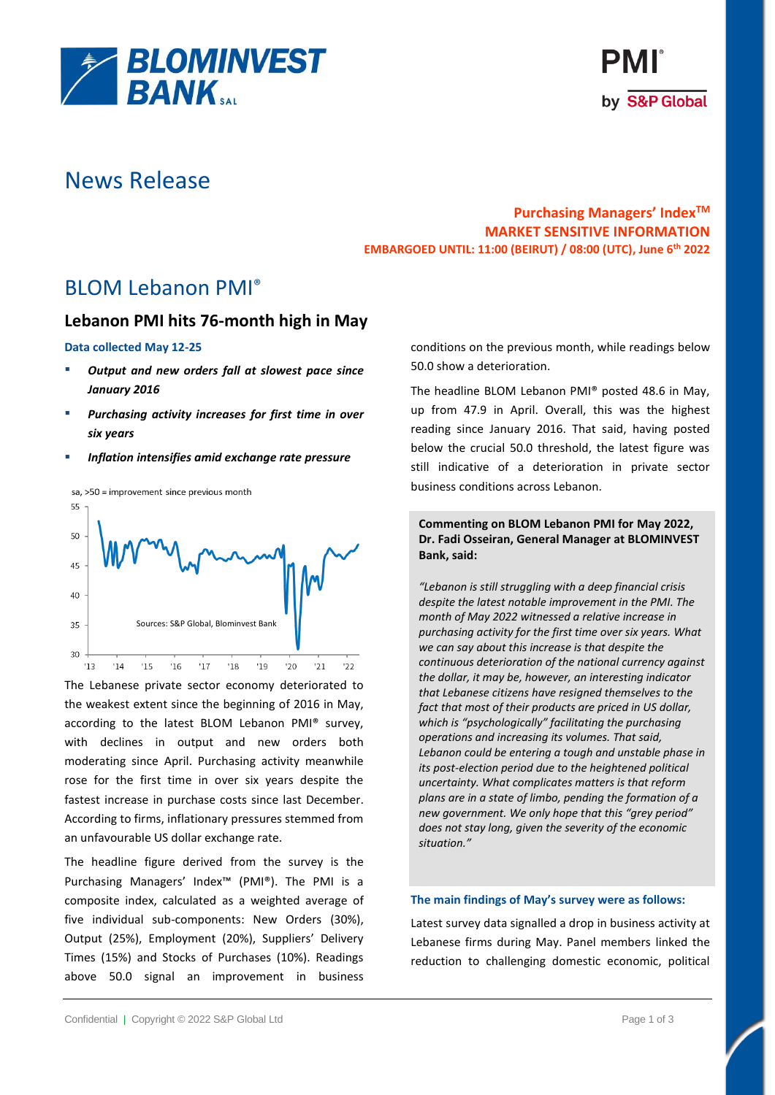



# News Release

# **Purchasing Managers' IndexTM MARKET SENSITIVE INFORMATION EMBARGOED UNTIL: 11:00 (BEIRUT) / 08:00 (UTC), June 6th 2022**

BLOM Lebanon PMI®

# **Lebanon PMI hits 76-month high in May**

### **Data collected May 12-25**

- *Output and new orders fall at slowest pace since January 2016*
- Purchasing activity increases for first time in over *six years*
- **Inflation intensifies amid exchange rate pressure**

sa, >50 = improvement since previous month



The Lebanese private sector economy deteriorated to the weakest extent since the beginning of 2016 in May, according to the latest BLOM Lebanon PMI® survey, with declines in output and new orders both moderating since April. Purchasing activity meanwhile rose for the first time in over six years despite the fastest increase in purchase costs since last December. According to firms, inflationary pressures stemmed from an unfavourable US dollar exchange rate.

The headline figure derived from the survey is the Purchasing Managers' Index™ (PMI®). The PMI is a composite index, calculated as a weighted average of five individual sub-components: New Orders (30%), Output (25%), Employment (20%), Suppliers' Delivery Times (15%) and Stocks of Purchases (10%). Readings above 50.0 signal an improvement in business

conditions on the previous month, while readings below 50.0 show a deterioration.

The headline BLOM Lebanon PMI® posted 48.6 in May, up from 47.9 in April. Overall, this was the highest reading since January 2016. That said, having posted below the crucial 50.0 threshold, the latest figure was still indicative of a deterioration in private sector business conditions across Lebanon.

## **Commenting on BLOM Lebanon PMI for May 2022, Dr. Fadi Osseiran, General Manager at BLOMINVEST Bank, said:**

*"Lebanon is still struggling with a deep financial crisis despite the latest notable improvement in the PMI. The month of May 2022 witnessed a relative increase in purchasing activity for the first time over six years. What we can say about this increase is that despite the continuous deterioration of the national currency against the dollar, it may be, however, an interesting indicator that Lebanese citizens have resigned themselves to the fact that most of their products are priced in US dollar, which is "psychologically" facilitating the purchasing operations and increasing its volumes. That said, Lebanon could be entering a tough and unstable phase in its post-election period due to the heightened political uncertainty. What complicates matters is that reform plans are in a state of limbo, pending the formation of a new government. We only hope that this "grey period" does not stay long, given the severity of the economic situation."*

## **The main findings of May's survey were as follows:**

Latest survey data signalled a drop in business activity at Lebanese firms during May. Panel members linked the reduction to challenging domestic economic, political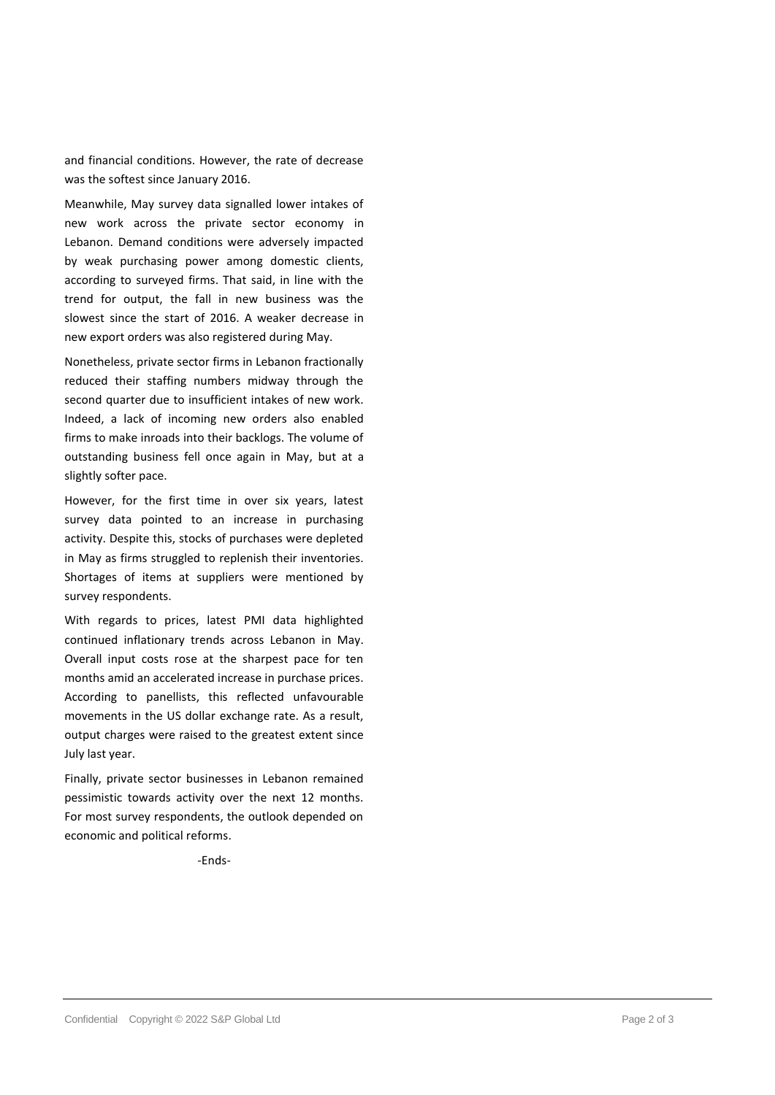and financial conditions. However, the rate of decrease was the softest since January 2016.

Meanwhile, May survey data signalled lower intakes of new work across the private sector economy in Lebanon. Demand conditions were adversely impacted by weak purchasing power among domestic clients, according to surveyed firms. That said, in line with the trend for output, the fall in new business was the slowest since the start of 2016. A weaker decrease in new export orders was also registered during May.

Nonetheless, private sector firms in Lebanon fractionally reduced their staffing numbers midway through the second quarter due to insufficient intakes of new work. Indeed, a lack of incoming new orders also enabled firms to make inroads into their backlogs. The volume of outstanding business fell once again in May, but at a slightly softer pace.

However, for the first time in over six years, latest survey data pointed to an increase in purchasing activity. Despite this, stocks of purchases were depleted in May as firms struggled to replenish their inventories. Shortages of items at suppliers were mentioned by survey respondents.

With regards to prices, latest PMI data highlighted continued inflationary trends across Lebanon in May. Overall input costs rose at the sharpest pace for ten months amid an accelerated increase in purchase prices. According to panellists, this reflected unfavourable movements in the US dollar exchange rate. As a result, output charges were raised to the greatest extent since July last year.

Finally, private sector businesses in Lebanon remained pessimistic towards activity over the next 12 months. For most survey respondents, the outlook depended on economic and political reforms.

-Ends-